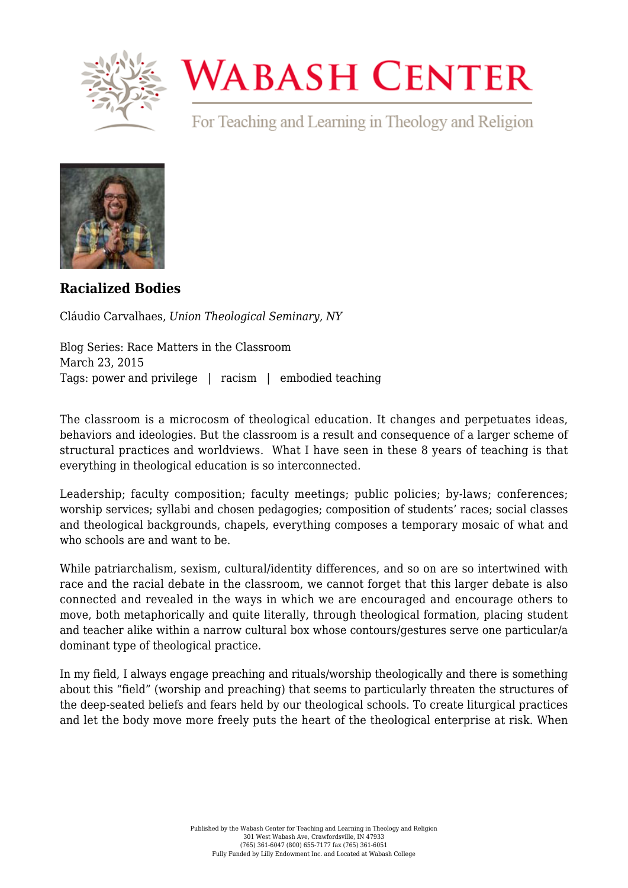

## **WABASH CENTER**

For Teaching and Learning in Theology and Religion



**[Racialized Bodies](https://www.wabashcenter.wabash.edu/2015/03/racialized-bodies/)**

Cláudio Carvalhaes, *Union Theological Seminary, NY*

Blog Series: Race Matters in the Classroom March 23, 2015 Tags: power and privilege | racism | embodied teaching

The classroom is a microcosm of theological education. It changes and perpetuates ideas, behaviors and ideologies. But the classroom is a result and consequence of a larger scheme of structural practices and worldviews. What I have seen in these 8 years of teaching is that everything in theological education is so interconnected.

Leadership; faculty composition; faculty meetings; public policies; by-laws; conferences; worship services; syllabi and chosen pedagogies; composition of students' races; social classes and theological backgrounds, chapels, everything composes a temporary mosaic of what and who schools are and want to be.

While patriarchalism, sexism, cultural/identity differences, and so on are so intertwined with race and the racial debate in the classroom, we cannot forget that this larger debate is also connected and revealed in the ways in which we are encouraged and encourage others to move, both metaphorically and quite literally, through theological formation, placing student and teacher alike within a narrow cultural box whose contours/gestures serve one particular/a dominant type of theological practice.

In my field, I always engage preaching and rituals/worship theologically and there is something about this "field" (worship and preaching) that seems to particularly threaten the structures of the deep-seated beliefs and fears held by our theological schools. To create liturgical practices and let the body move more freely puts the heart of the theological enterprise at risk. When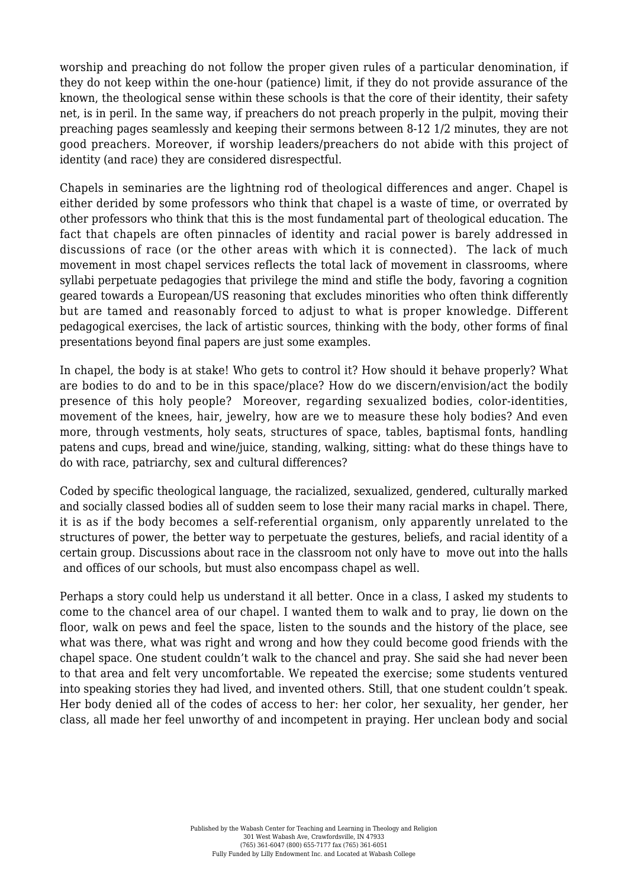worship and preaching do not follow the proper given rules of a particular denomination, if they do not keep within the one-hour (patience) limit, if they do not provide assurance of the known, the theological sense within these schools is that the core of their identity, their safety net, is in peril. In the same way, if preachers do not preach properly in the pulpit, moving their preaching pages seamlessly and keeping their sermons between 8-12 1/2 minutes, they are not good preachers. Moreover, if worship leaders/preachers do not abide with this project of identity (and race) they are considered disrespectful.

Chapels in seminaries are the lightning rod of theological differences and anger. Chapel is either derided by some professors who think that chapel is a waste of time, or overrated by other professors who think that this is the most fundamental part of theological education. The fact that chapels are often pinnacles of identity and racial power is barely addressed in discussions of race (or the other areas with which it is connected). The lack of much movement in most chapel services reflects the total lack of movement in classrooms, where syllabi perpetuate pedagogies that privilege the mind and stifle the body, favoring a cognition geared towards a European/US reasoning that excludes minorities who often think differently but are tamed and reasonably forced to adjust to what is proper knowledge. Different pedagogical exercises, the lack of artistic sources, thinking with the body, other forms of final presentations beyond final papers are just some examples.

In chapel, the body is at stake! Who gets to control it? How should it behave properly? What are bodies to do and to be in this space/place? How do we discern/envision/act the bodily presence of this holy people? Moreover, regarding sexualized bodies, color-identities, movement of the knees, hair, jewelry, how are we to measure these holy bodies? And even more, through vestments, holy seats, structures of space, tables, baptismal fonts, handling patens and cups, bread and wine/juice, standing, walking, sitting: what do these things have to do with race, patriarchy, sex and cultural differences?

Coded by specific theological language, the racialized, sexualized, gendered, culturally marked and socially classed bodies all of sudden seem to lose their many racial marks in chapel. There, it is as if the body becomes a self-referential organism, only apparently unrelated to the structures of power, the better way to perpetuate the gestures, beliefs, and racial identity of a certain group. Discussions about race in the classroom not only have to move out into the halls and offices of our schools, but must also encompass chapel as well.

Perhaps a story could help us understand it all better. Once in a class, I asked my students to come to the chancel area of our chapel. I wanted them to walk and to pray, lie down on the floor, walk on pews and feel the space, listen to the sounds and the history of the place, see what was there, what was right and wrong and how they could become good friends with the chapel space. One student couldn't walk to the chancel and pray. She said she had never been to that area and felt very uncomfortable. We repeated the exercise; some students ventured into speaking stories they had lived, and invented others. Still, that one student couldn't speak. Her body denied all of the codes of access to her: her color, her sexuality, her gender, her class, all made her feel unworthy of and incompetent in praying. Her unclean body and social